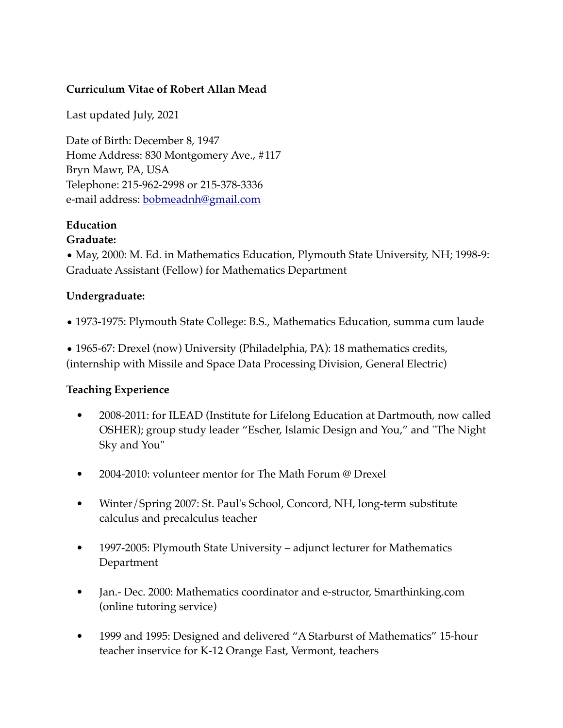#### **Curriculum Vitae of Robert Allan Mead**

Last updated July, 2021

Date of Birth: December 8, 1947 Home Address: 830 Montgomery Ave., #117 Bryn Mawr, PA, USA Telephone: 215-962-2998 or 215-378-3336 e-mail address: [bobmeadnh@gmail.com](mailto:bobmeadnh@gmail.com)

# **Education**

#### **Graduate:**

• May, 2000: M. Ed. in Mathematics Education, Plymouth State University, NH; 1998-9: Graduate Assistant (Fellow) for Mathematics Department

### **Undergraduate:**

• 1973-1975: Plymouth State College: B.S., Mathematics Education, summa cum laude

• 1965-67: Drexel (now) University (Philadelphia, PA): 18 mathematics credits, (internship with Missile and Space Data Processing Division, General Electric)

#### **Teaching Experience**

- 2008-2011: for ILEAD (Institute for Lifelong Education at Dartmouth, now called OSHER); group study leader "Escher, Islamic Design and You," and "The Night Sky and You"
- 2004-2010: volunteer mentor for The Math Forum @ Drexel
- Winter/Spring 2007: St. Paul's School, Concord, NH, long-term substitute calculus and precalculus teacher
- 1997-2005: Plymouth State University adjunct lecturer for Mathematics Department
- Jan.- Dec. 2000: Mathematics coordinator and e-structor, Smarthinking.com (online tutoring service)
- 1999 and 1995: Designed and delivered "A Starburst of Mathematics" 15-hour teacher inservice for K-12 Orange East, Vermont, teachers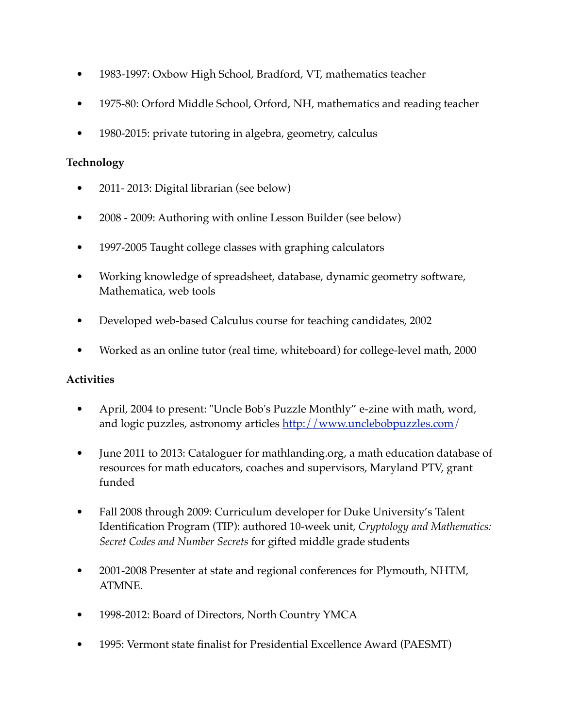- 1983-1997: Oxbow High School, Bradford, VT, mathematics teacher
- 1975-80: Orford Middle School, Orford, NH, mathematics and reading teacher
- 1980-2015: private tutoring in algebra, geometry, calculus

### **Technology**

- 2011-2013: Digital librarian (see below)
- 2008 2009: Authoring with online Lesson Builder (see below)
- 1997-2005 Taught college classes with graphing calculators
- Working knowledge of spreadsheet, database, dynamic geometry software, Mathematica, web tools
- Developed web-based Calculus course for teaching candidates, 2002
- Worked as an online tutor (real time, whiteboard) for college-level math, 2000

# **Activities**

- April, 2004 to present: "Uncle Bob's Puzzle Monthly" e-zine with math, word, and logic puzzles, astronomy articles [http://www.unclebobpuzzles.com/](http://www.unclebobpuzzles.com)
- June 2011 to 2013: Cataloguer for mathlanding.org, a math education database of resources for math educators, coaches and supervisors, Maryland PTV, grant funded
- Fall 2008 through 2009: Curriculum developer for Duke University's Talent Identification Program (TIP): authored 10-week unit, *Cryptology and Mathematics: Secret Codes and Number Secrets* for gifted middle grade students
- 2001-2008 Presenter at state and regional conferences for Plymouth, NHTM, ATMNE.
- 1998-2012: Board of Directors, North Country YMCA
- 1995: Vermont state finalist for Presidential Excellence Award (PAESMT)